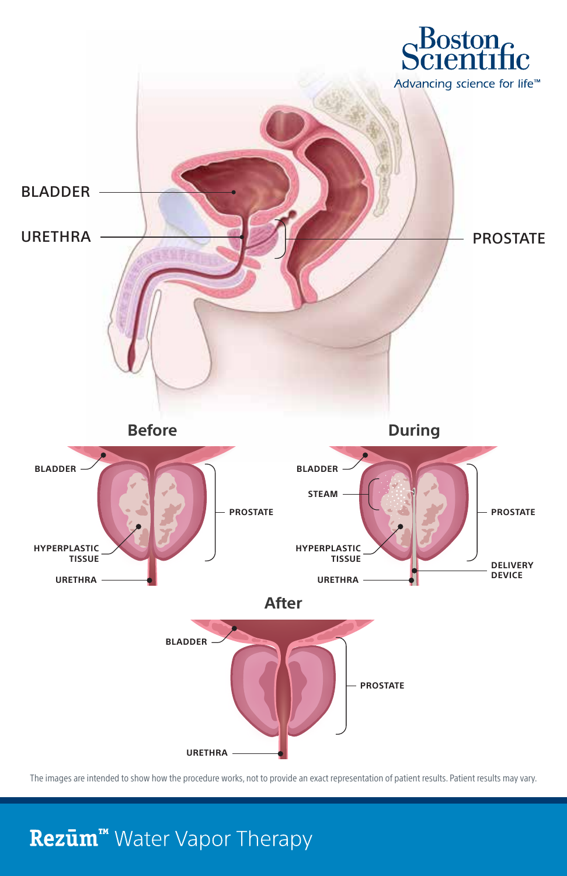

The images are intended to show how the procedure works, not to provide an exact representation of patient results. Patient results may vary.

## Rezūm<sup>™</sup> Water Vapor Therapy